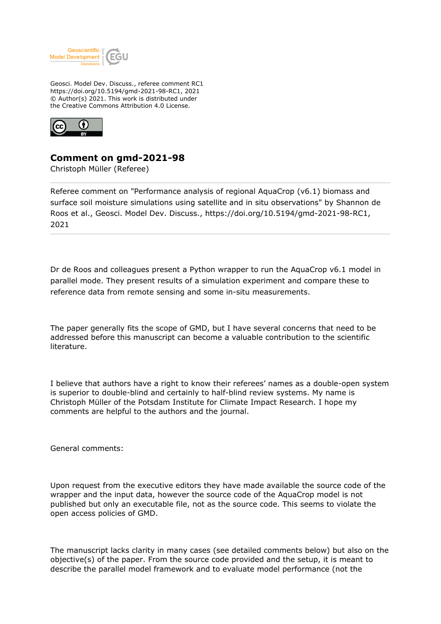

Geosci. Model Dev. Discuss., referee comment RC1 https://doi.org/10.5194/gmd-2021-98-RC1, 2021 © Author(s) 2021. This work is distributed under the Creative Commons Attribution 4.0 License.



## **Comment on gmd-2021-98**

Christoph Müller (Referee)

Referee comment on "Performance analysis of regional AquaCrop (v6.1) biomass and surface soil moisture simulations using satellite and in situ observations" by Shannon de Roos et al., Geosci. Model Dev. Discuss., https://doi.org/10.5194/gmd-2021-98-RC1, 2021

Dr de Roos and colleagues present a Python wrapper to run the AquaCrop v6.1 model in parallel mode. They present results of a simulation experiment and compare these to reference data from remote sensing and some in-situ measurements.

The paper generally fits the scope of GMD, but I have several concerns that need to be addressed before this manuscript can become a valuable contribution to the scientific literature.

I believe that authors have a right to know their referees' names as a double-open system is superior to double-blind and certainly to half-blind review systems. My name is Christoph Müller of the Potsdam Institute for Climate Impact Research. I hope my comments are helpful to the authors and the journal.

General comments:

Upon request from the executive editors they have made available the source code of the wrapper and the input data, however the source code of the AquaCrop model is not published but only an executable file, not as the source code. This seems to violate the open access policies of GMD.

The manuscript lacks clarity in many cases (see detailed comments below) but also on the objective(s) of the paper. From the source code provided and the setup, it is meant to describe the parallel model framework and to evaluate model performance (not the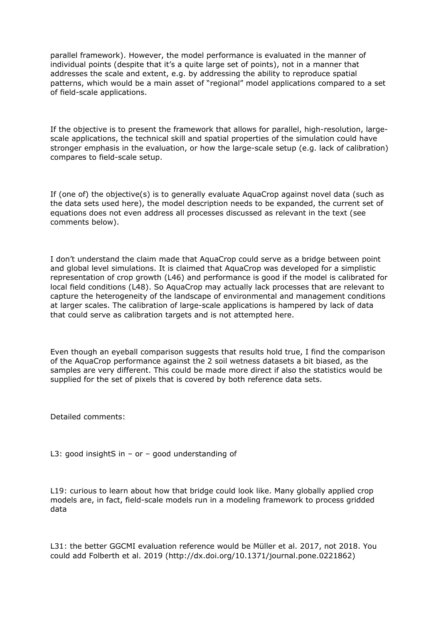parallel framework). However, the model performance is evaluated in the manner of individual points (despite that it's a quite large set of points), not in a manner that addresses the scale and extent, e.g. by addressing the ability to reproduce spatial patterns, which would be a main asset of "regional" model applications compared to a set of field-scale applications.

If the objective is to present the framework that allows for parallel, high-resolution, largescale applications, the technical skill and spatial properties of the simulation could have stronger emphasis in the evaluation, or how the large-scale setup (e.g. lack of calibration) compares to field-scale setup.

If (one of) the objective(s) is to generally evaluate AquaCrop against novel data (such as the data sets used here), the model description needs to be expanded, the current set of equations does not even address all processes discussed as relevant in the text (see comments below).

I don't understand the claim made that AquaCrop could serve as a bridge between point and global level simulations. It is claimed that AquaCrop was developed for a simplistic representation of crop growth (L46) and performance is good if the model is calibrated for local field conditions (L48). So AquaCrop may actually lack processes that are relevant to capture the heterogeneity of the landscape of environmental and management conditions at larger scales. The calibration of large-scale applications is hampered by lack of data that could serve as calibration targets and is not attempted here.

Even though an eyeball comparison suggests that results hold true, I find the comparison of the AquaCrop performance against the 2 soil wetness datasets a bit biased, as the samples are very different. This could be made more direct if also the statistics would be supplied for the set of pixels that is covered by both reference data sets.

Detailed comments:

L3: good insightS in – or – good understanding of

L19: curious to learn about how that bridge could look like. Many globally applied crop models are, in fact, field-scale models run in a modeling framework to process gridded data

L31: the better GGCMI evaluation reference would be Müller et al. 2017, not 2018. You could add Folberth et al. 2019 (http://dx.doi.org/10.1371/journal.pone.0221862)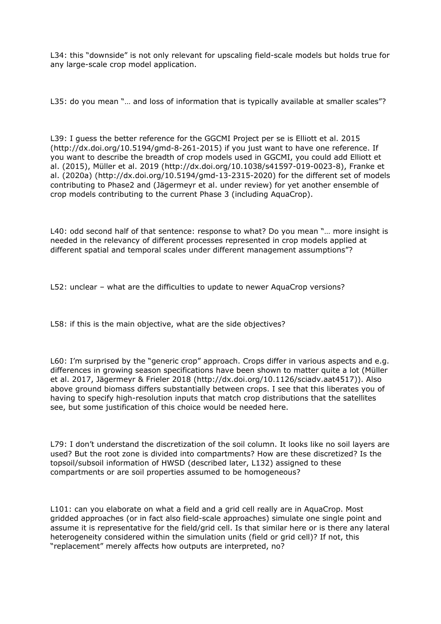L34: this "downside" is not only relevant for upscaling field-scale models but holds true for any large-scale crop model application.

L35: do you mean "… and loss of information that is typically available at smaller scales"?

L39: I guess the better reference for the GGCMI Project per se is Elliott et al. 2015 (http://dx.doi.org/10.5194/gmd-8-261-2015) if you just want to have one reference. If you want to describe the breadth of crop models used in GGCMI, you could add Elliott et al. (2015), Müller et al. 2019 (http://dx.doi.org/10.1038/s41597-019-0023-8), Franke et al. (2020a) (http://dx.doi.org/10.5194/gmd-13-2315-2020) for the different set of models contributing to Phase2 and (Jägermeyr et al. under review) for yet another ensemble of crop models contributing to the current Phase 3 (including AquaCrop).

L40: odd second half of that sentence: response to what? Do you mean "... more insight is needed in the relevancy of different processes represented in crop models applied at different spatial and temporal scales under different management assumptions"?

L52: unclear – what are the difficulties to update to newer AquaCrop versions?

L58: if this is the main objective, what are the side objectives?

L60: I'm surprised by the "generic crop" approach. Crops differ in various aspects and e.g. differences in growing season specifications have been shown to matter quite a lot (Müller et al. 2017, Jägermeyr & Frieler 2018 (http://dx.doi.org/10.1126/sciadv.aat4517)). Also above ground biomass differs substantially between crops. I see that this liberates you of having to specify high-resolution inputs that match crop distributions that the satellites see, but some justification of this choice would be needed here.

L79: I don't understand the discretization of the soil column. It looks like no soil layers are used? But the root zone is divided into compartments? How are these discretized? Is the topsoil/subsoil information of HWSD (described later, L132) assigned to these compartments or are soil properties assumed to be homogeneous?

L101: can you elaborate on what a field and a grid cell really are in AquaCrop. Most gridded approaches (or in fact also field-scale approaches) simulate one single point and assume it is representative for the field/grid cell. Is that similar here or is there any lateral heterogeneity considered within the simulation units (field or grid cell)? If not, this "replacement" merely affects how outputs are interpreted, no?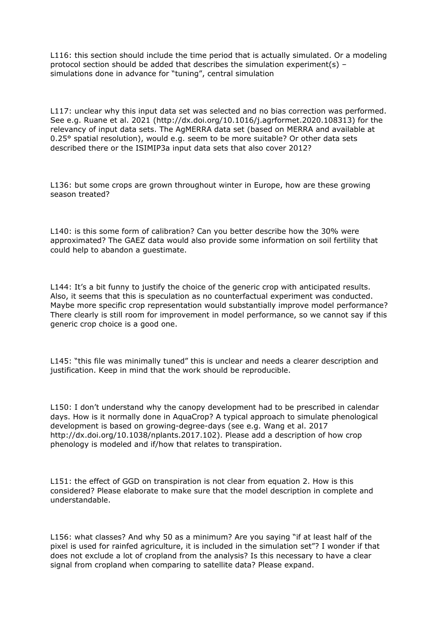L116: this section should include the time period that is actually simulated. Or a modeling protocol section should be added that describes the simulation experiment(s) – simulations done in advance for "tuning", central simulation

L117: unclear why this input data set was selected and no bias correction was performed. See e.g. Ruane et al. 2021 (http://dx.doi.org/10.1016/j.agrformet.2020.108313) for the relevancy of input data sets. The AgMERRA data set (based on MERRA and available at 0.25° spatial resolution), would e.g. seem to be more suitable? Or other data sets described there or the ISIMIP3a input data sets that also cover 2012?

L136: but some crops are grown throughout winter in Europe, how are these growing season treated?

L140: is this some form of calibration? Can you better describe how the 30% were approximated? The GAEZ data would also provide some information on soil fertility that could help to abandon a guestimate.

L144: It's a bit funny to justify the choice of the generic crop with anticipated results. Also, it seems that this is speculation as no counterfactual experiment was conducted. Maybe more specific crop representation would substantially improve model performance? There clearly is still room for improvement in model performance, so we cannot say if this generic crop choice is a good one.

L145: "this file was minimally tuned" this is unclear and needs a clearer description and justification. Keep in mind that the work should be reproducible.

L150: I don't understand why the canopy development had to be prescribed in calendar days. How is it normally done in AquaCrop? A typical approach to simulate phenological development is based on growing-degree-days (see e.g. Wang et al. 2017 http://dx.doi.org/10.1038/nplants.2017.102). Please add a description of how crop phenology is modeled and if/how that relates to transpiration.

L151: the effect of GGD on transpiration is not clear from equation 2. How is this considered? Please elaborate to make sure that the model description in complete and understandable.

L156: what classes? And why 50 as a minimum? Are you saying "if at least half of the pixel is used for rainfed agriculture, it is included in the simulation set"? I wonder if that does not exclude a lot of cropland from the analysis? Is this necessary to have a clear signal from cropland when comparing to satellite data? Please expand.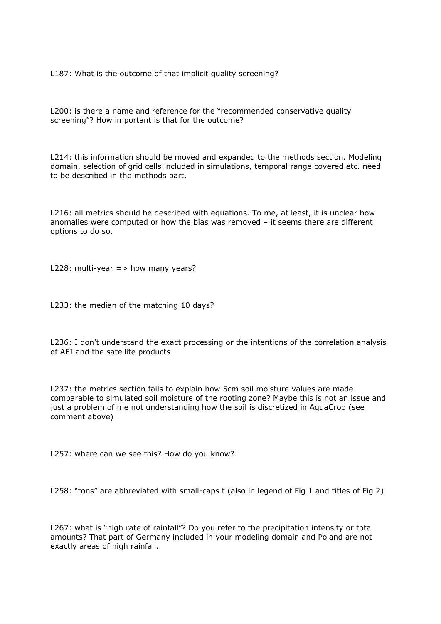L187: What is the outcome of that implicit quality screening?

L200: is there a name and reference for the "recommended conservative quality screening"? How important is that for the outcome?

L214: this information should be moved and expanded to the methods section. Modeling domain, selection of grid cells included in simulations, temporal range covered etc. need to be described in the methods part.

L216: all metrics should be described with equations. To me, at least, it is unclear how anomalies were computed or how the bias was removed – it seems there are different options to do so.

L228: multi-year  $\epsilon$  how many years?

L233: the median of the matching 10 days?

L236: I don't understand the exact processing or the intentions of the correlation analysis of AEI and the satellite products

L237: the metrics section fails to explain how 5cm soil moisture values are made comparable to simulated soil moisture of the rooting zone? Maybe this is not an issue and just a problem of me not understanding how the soil is discretized in AquaCrop (see comment above)

L257: where can we see this? How do you know?

L258: "tons" are abbreviated with small-caps t (also in legend of Fig 1 and titles of Fig 2)

L267: what is "high rate of rainfall"? Do you refer to the precipitation intensity or total amounts? That part of Germany included in your modeling domain and Poland are not exactly areas of high rainfall.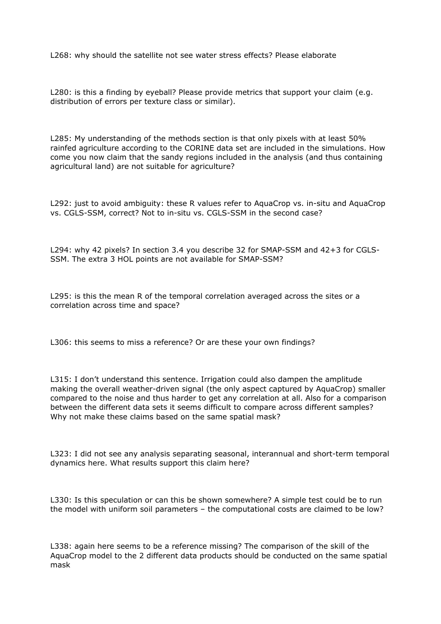L268: why should the satellite not see water stress effects? Please elaborate

L280: is this a finding by eyeball? Please provide metrics that support your claim (e.g. distribution of errors per texture class or similar).

L285: My understanding of the methods section is that only pixels with at least 50% rainfed agriculture according to the CORINE data set are included in the simulations. How come you now claim that the sandy regions included in the analysis (and thus containing agricultural land) are not suitable for agriculture?

L292: just to avoid ambiguity: these R values refer to AquaCrop vs. in-situ and AquaCrop vs. CGLS-SSM, correct? Not to in-situ vs. CGLS-SSM in the second case?

L294: why 42 pixels? In section 3.4 you describe 32 for SMAP-SSM and 42+3 for CGLS-SSM. The extra 3 HOL points are not available for SMAP-SSM?

L295: is this the mean R of the temporal correlation averaged across the sites or a correlation across time and space?

L306: this seems to miss a reference? Or are these your own findings?

L315: I don't understand this sentence. Irrigation could also dampen the amplitude making the overall weather-driven signal (the only aspect captured by AquaCrop) smaller compared to the noise and thus harder to get any correlation at all. Also for a comparison between the different data sets it seems difficult to compare across different samples? Why not make these claims based on the same spatial mask?

L323: I did not see any analysis separating seasonal, interannual and short-term temporal dynamics here. What results support this claim here?

L330: Is this speculation or can this be shown somewhere? A simple test could be to run the model with uniform soil parameters – the computational costs are claimed to be low?

L338: again here seems to be a reference missing? The comparison of the skill of the AquaCrop model to the 2 different data products should be conducted on the same spatial mask